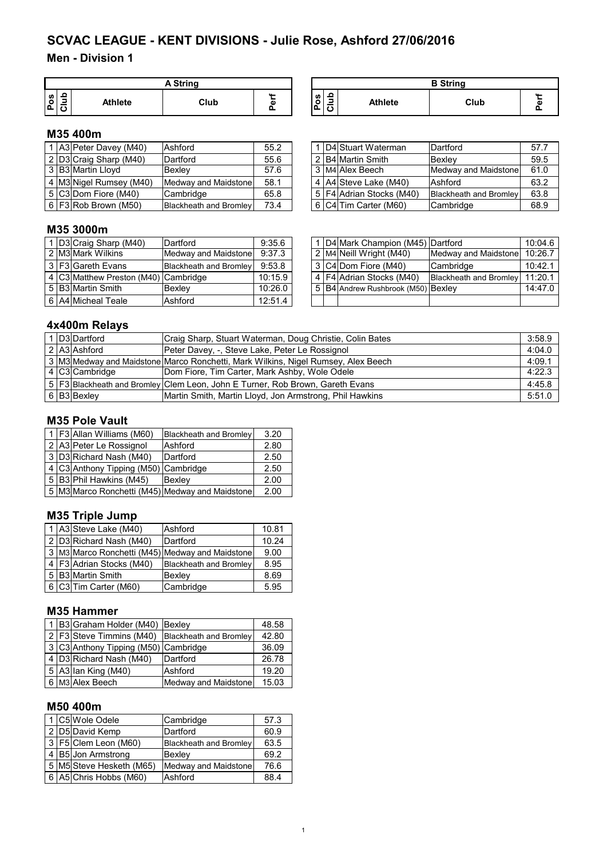# **Men - Division 1**

|        | <b>A String</b> |                |      |   |  |  |  |  |
|--------|-----------------|----------------|------|---|--|--|--|--|
| s<br>ο | 읔               | <b>Athlete</b> | Club | ω |  |  |  |  |

| A String |    |                                                                | <b>B</b> String |      |  |
|----------|----|----------------------------------------------------------------|-----------------|------|--|
| Club     | G) | ≏<br><b>S</b><br>$\overline{\phantom{0}}$<br>$\circ$<br>o<br>◡ | <b>Athlete</b>  | Club |  |

## **M35 400m**

|  | 1 A3 Peter Davey (M40)   | Ashford                       | 55.2 |  | 1   D4 Stuart Waterman   | Dartford                      | 57.7 |
|--|--------------------------|-------------------------------|------|--|--------------------------|-------------------------------|------|
|  | 2 D3 Craig Sharp (M40)   | Dartford                      | 55.6 |  | 2 B4 Martin Smith        | Bexlev                        | 59.5 |
|  | 3 B3 Martin Lloyd        | Bexlev                        | 57.6 |  | 3 M4 Alex Beech          | Medway and Maidstone          | 61.0 |
|  | 4 M3 Nigel Rumsey (M40)  | Medway and Maidstone          | 58.1 |  | 4 A4 Steve Lake (M40)    | Ashford                       | 63.2 |
|  | $ 5 C3 $ Dom Fiore (M40) | Cambridge                     | 65.8 |  | 5 F4 Adrian Stocks (M40) | <b>Blackheath and Bromley</b> | 63.8 |
|  | $6$ F3 Rob Brown (M50)   | <b>Blackheath and Bromley</b> | 73.4 |  | 6 C4 Tim Carter (M60)    | Cambridge                     | 68.9 |

|   | 1 D4 Stuart Waterman       | Dartford                      | 57.7 |
|---|----------------------------|-------------------------------|------|
|   | 2 B4 Martin Smith          | Bexley                        | 59.5 |
|   | 3 M4 Alex Beech            | Medway and Maidstone          | 61.0 |
|   | 4 A4 Steve Lake (M40)      | Ashford                       | 63.2 |
|   | 5   F4 Adrian Stocks (M40) | <b>Blackheath and Bromley</b> | 63.8 |
| 6 | C4 Tim Carter (M60)        | Cambridge                     | 68.9 |

# **M35 3000m**

|  | 1 D3 Craig Sharp (M40)               | Dartford                      | 9:35.6  |
|--|--------------------------------------|-------------------------------|---------|
|  | 2 M3 Mark Wilkins                    | Medway and Maidstone          | 9:37.3  |
|  | 3 F3 Gareth Evans                    | <b>Blackheath and Bromley</b> | 9:53.8  |
|  | 4 C3 Matthew Preston (M40) Cambridge |                               | 10:15.9 |
|  | 5 B3 Martin Smith                    | Bexley                        | 10:26.0 |
|  | 6 A4 Micheal Teale                   | Ashford                       | 12:51.4 |

|  | 1 D3 Craig Sharp (M40)               | Dartford                      | 9:35.6  |  | 1   D4   Mark Champion (M45)   Dartford |                        | 10:04.6 |
|--|--------------------------------------|-------------------------------|---------|--|-----------------------------------------|------------------------|---------|
|  | 2 M3IMark Wilkins                    | Medway and Maidstone          | 9:37.3  |  | 2 M4 Neill Wright (M40)                 | Medway and Maidstone   | 10:26.7 |
|  | 3 l F3 lGareth Evans                 | <b>Blackheath and Bromley</b> | 9:53.8  |  | 3 C4 Dom Fiore (M40)                    | Cambridge              | 10:42.1 |
|  | 4 C3 Matthew Preston (M40) Cambridge |                               | 10:15.9 |  | 4 F4 Adrian Stocks (M40)                | Blackheath and Bromley | 11:20.1 |
|  | 5   B3   Martin Smith                | Bexlev                        | 10:26.0 |  | 5 B4 Andrew Rushbrook (M50) Bexley      |                        | 14:47.0 |
|  | 6   A4   Micheal Teale               | Ashford                       | 12:51.4 |  |                                         |                        |         |

# **4x400m Relays**

|  | 1 D3 Dartford  | Craig Sharp, Stuart Waterman, Doug Christie, Colin Bates                          | 3:58.9 |
|--|----------------|-----------------------------------------------------------------------------------|--------|
|  | 2 A3 Ashford   | Peter Davey, -, Steve Lake, Peter Le Rossignol                                    | 4:04.0 |
|  |                | 3 M3 Medway and Maidstone Marco Ronchetti, Mark Wilkins, Nigel Rumsey, Alex Beech | 4:09.1 |
|  | 4 C3 Cambridge | Dom Fiore, Tim Carter, Mark Ashby, Wole Odele                                     | 4:22.3 |
|  |                | 5   F3 Blackheath and Bromley Clem Leon, John E Turner, Rob Brown, Gareth Evans   | 4:45.8 |
|  | 6 B3 Bexley    | Martin Smith, Martin Lloyd, Jon Armstrong, Phil Hawkins                           | 5:51.0 |

# **M35 Pole Vault**

|  | 1 F3 Allan Williams (M60)            | <b>Blackheath and Bromley</b>                   | 3.20 |
|--|--------------------------------------|-------------------------------------------------|------|
|  | 2 A3 Peter Le Rossignol              | Ashford                                         | 2.80 |
|  | 3 D3 Richard Nash (M40)              | Dartford                                        | 2.50 |
|  | 4 C3 Anthony Tipping (M50) Cambridge |                                                 | 2.50 |
|  | 5 B3 Phil Hawkins (M45)              | Bexley                                          | 2.00 |
|  |                                      | 5 M3 Marco Ronchetti (M45) Medway and Maidstone | 2.00 |

# **M35 Triple Jump**

|  | 1 A3 Steve Lake (M40)    | Ashford                                         | 10.81 |
|--|--------------------------|-------------------------------------------------|-------|
|  | 2 D3 Richard Nash (M40)  | Dartford                                        | 10.24 |
|  |                          | 3 M3 Marco Ronchetti (M45) Medway and Maidstone | 9.00  |
|  | 4 F3 Adrian Stocks (M40) | <b>Blackheath and Bromley</b>                   | 8.95  |
|  | 5 B3 Martin Smith        | Bexley                                          | 8.69  |
|  | 6 C3 Tim Carter (M60)    | Cambridge                                       | 5.95  |

#### **M35 Hammer**

|  | 1 B3 Graham Holder (M40)             | Bexley                        | 48.58 |
|--|--------------------------------------|-------------------------------|-------|
|  | 2 F3 Steve Timmins (M40)             | <b>Blackheath and Bromley</b> | 42.80 |
|  | 3 C3 Anthony Tipping (M50) Cambridge |                               | 36.09 |
|  | 4 D3 Richard Nash (M40)              | Dartford                      | 26.78 |
|  | 5 A3 lan King (M40)                  | Ashford                       | 19.20 |
|  | 6 M3 Alex Beech                      | Medway and Maidstone          | 15.03 |

### **M50 400m**

|  | 1 C5 Wole Odele          | Cambridge                     | 57.3 |
|--|--------------------------|-------------------------------|------|
|  | 2 D5 David Kemp          | Dartford                      | 60.9 |
|  | $3$ F5 Clem Leon (M60)   | <b>Blackheath and Bromley</b> | 63.5 |
|  | 4 B5 Jon Armstrong       | Bexley                        | 69.2 |
|  | 5 M5 Steve Hesketh (M65) | Medway and Maidstone          | 76.6 |
|  | 6 A5 Chris Hobbs (M60)   | Ashford                       | 88.4 |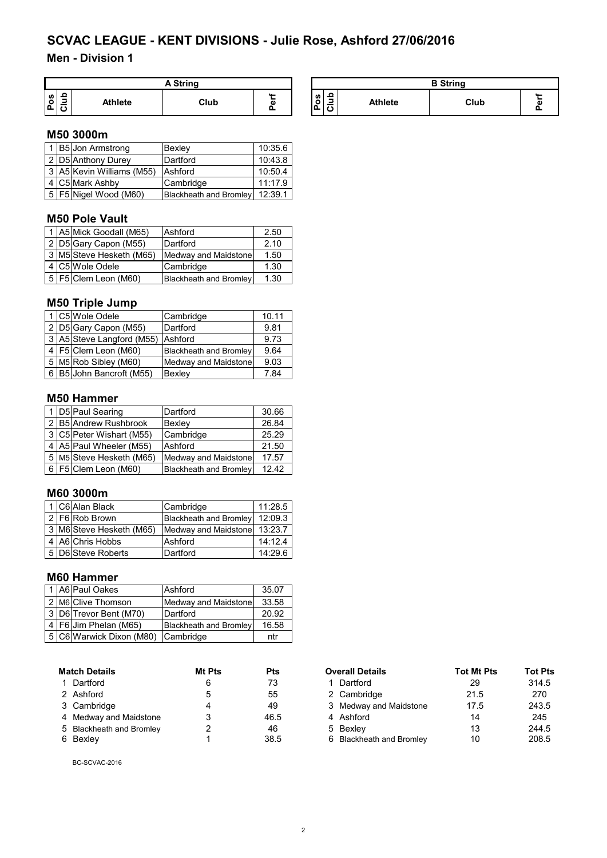# **Men - Division 1**

| Strina             |                |      |                 |                            |                | <b>B</b> String |
|--------------------|----------------|------|-----------------|----------------------------|----------------|-----------------|
| ဖာ<br>o<br>'n<br>U | <b>Athlete</b> | Club | <b>AA</b><br>G) | ဖာ<br>. .<br>-<br>۹Δ.<br>Ë | <b>Athlete</b> |                 |

#### **M50 3000m**

|  | 1 B5 Jon Armstrong        | Bexley                        | 10:35.6 |
|--|---------------------------|-------------------------------|---------|
|  | 2 D5 Anthony Durey        | Dartford                      | 10:43.8 |
|  | 3 A5 Kevin Williams (M55) | Ashford                       | 10:50.4 |
|  | 4 C5 Mark Ashby           | Cambridge                     | 11:17.9 |
|  | 5   F5   Nigel Wood (M60) | <b>Blackheath and Bromley</b> | 12:39.1 |

# **M50 Pole Vault**

|  | 1 A5 Mick Goodall (M65)       | Ashford                | 2.50 |
|--|-------------------------------|------------------------|------|
|  | 2 D5 Gary Capon (M55)         | Dartford               | 2.10 |
|  | 3 M5 Steve Hesketh (M65)      | Medway and Maidstone   | 1.50 |
|  | 4 C5 Wole Odele               | Cambridge              | 1.30 |
|  | $\sqrt{5}$ F5 Clem Leon (M60) | Blackheath and Bromley | 1.30 |

# **M50 Triple Jump**

|  | 1 C5 Wole Odele           | Cambridge                     | 10.11 |
|--|---------------------------|-------------------------------|-------|
|  | 2 D5 Gary Capon (M55)     | Dartford                      | 9.81  |
|  | 3 A5 Steve Langford (M55) | Ashford                       | 9.73  |
|  | 4   F5   Clem Leon (M60)  | <b>Blackheath and Bromley</b> | 9.64  |
|  | 5 M5 Rob Sibley (M60)     | Medway and Maidstone          | 9.03  |
|  | 6 B5 John Bancroft (M55)  | Bexley                        | 7.84  |

#### **M50 Hammer**

|  | 1 D5 Paul Searing            | Dartford                      | 30.66 |
|--|------------------------------|-------------------------------|-------|
|  | 2 B5 Andrew Rushbrook        | Bexley                        | 26.84 |
|  | 3   C5   Peter Wishart (M55) | Cambridge                     | 25.29 |
|  | 4   A5   Paul Wheeler (M55)  | Ashford                       | 21.50 |
|  | 5   M5 Steve Hesketh (M65)   | Medway and Maidstone          | 17.57 |
|  | 6   F5   Clem Leon (M60)     | <b>Blackheath and Bromley</b> | 12.42 |

#### **M60 3000m**

|  | 1 C6 Alan Black          | Cambridge              | 11:28.5 |
|--|--------------------------|------------------------|---------|
|  | 2   F6   Rob Brown       | Blackheath and Bromley | 12:09.3 |
|  | 3 M6 Steve Hesketh (M65) | Medway and Maidstone   | 13:23.7 |
|  | 4 A6 Chris Hobbs         | Ashford                | 14:12.4 |
|  | 5 D6 Steve Roberts       | Dartford               | 14:29.6 |

# **M60 Hammer**

|  | 1 A6 Paul Oakes                    | Ashford                       | 35.07 |
|--|------------------------------------|-------------------------------|-------|
|  | 2 M6 Clive Thomson                 | Medway and Maidstone          | 33.58 |
|  | 3 D6 Trevor Bent (M70)             | Dartford                      | 20.92 |
|  | 4 F6 Jim Phelan (M65)              | <b>Blackheath and Bromley</b> | 16.58 |
|  | 5 C6 Warwick Dixon (M80) Cambridge |                               | ntr   |

| <b>Match Details</b>     | Mt Pts | Pts  |
|--------------------------|--------|------|
| 1 Dartford               | 6      | 73   |
| 2 Ashford                | 5      | 55   |
| 3 Cambridge              | 4      | 49   |
| 4 Medway and Maidstone   | 3      | 46.5 |
| 5 Blackheath and Bromley | 2      | 46   |
| Bexley                   | 1      | 38.5 |

BC-SCVAC-2016

| <b>Match Details</b>     | <b>Mt Pts</b><br><b>Pts</b> |      | <b>Overall Details</b>   | <b>Tot Mt Pts</b> | <b>Tot Pts</b> |
|--------------------------|-----------------------------|------|--------------------------|-------------------|----------------|
| 1 Dartford               | 6                           | 73   | 1 Dartford               | 29                | 314.5          |
| 2 Ashford                | 5                           | 55   | 2 Cambridge              | 21.5              | 270            |
| 3 Cambridge              |                             | 49   | 3 Medway and Maidstone   | 17.5              | 243.5          |
| 4 Medway and Maidstone   | 3                           | 46.5 | 4 Ashford                | 14                | 245            |
| 5 Blackheath and Bromley | 2                           | 46   | 5 Bexley                 | 13                | 244.5          |
| 6 Bexley                 |                             | 38.5 | 6 Blackheath and Bromley | 10                | 208.5          |

Club

**Perf**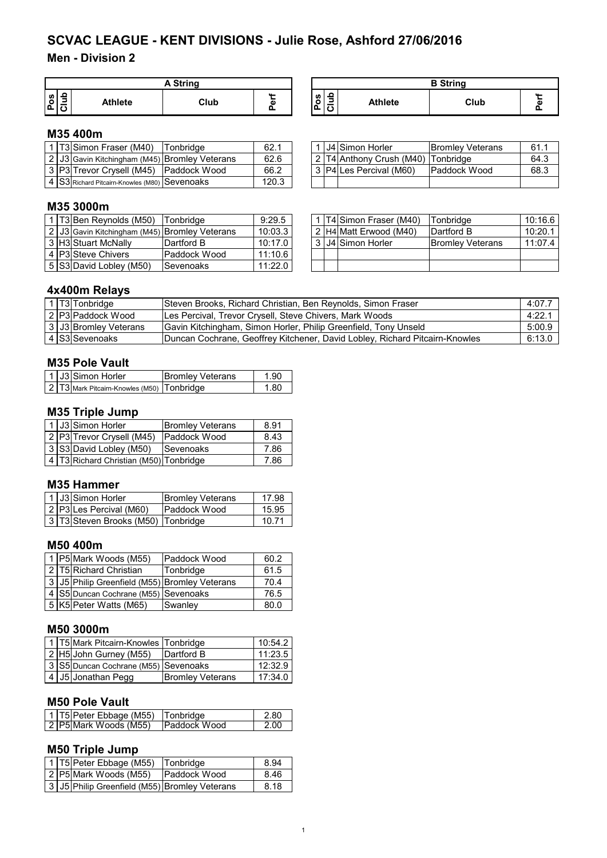# **Men - Division 2**

| $C$ fring                          |                     |      |                   |                                   |                | <b>B</b> String |   |
|------------------------------------|---------------------|------|-------------------|-----------------------------------|----------------|-----------------|---|
| ഗ≙<br>$\circ$<br>.   ರ<br>$\Omega$ | <b>Athlete</b><br>. | Club | $\mathbf{r}$<br>ω | ഗ I ≏<br>-<br>ີ<br><u>්ට</u><br>ட | <b>Athlete</b> | Club            | ω |

#### **M35 400m**

|  | 1 T3 Simon Fraser (M40)                       | Tonbridge | 62.1  |  | 1 J4 Simon Horler                  | <b>IBromley Veterans</b> | 61.1 |
|--|-----------------------------------------------|-----------|-------|--|------------------------------------|--------------------------|------|
|  | 2 J3 Gavin Kitchingham (M45) Bromley Veterans |           | 62.6  |  | 2 T4 Anthony Crush (M40) Tonbridge |                          | 64.3 |
|  | 3 P3 Trevor Crysell (M45) Paddock Wood        |           | 66.2  |  | 3 P4 Les Percival (M60)            | <b>Paddock Wood</b>      | 68.3 |
|  | 4 S3 Richard Pitcairn-Knowles (M80) Sevenoaks |           | 120.3 |  |                                    |                          |      |

|  | 11J4 Simon Horler                  | <b>Bromley Veterans</b> | 61.1 |
|--|------------------------------------|-------------------------|------|
|  | 2 T4 Anthony Crush (M40) Tonbridge |                         | 64.3 |
|  | 3   P4 Les Percival (M60)          | Paddock Wood            | 68.3 |
|  |                                    |                         |      |

## **M35 3000m**

|  | 1 T3 Ben Reynolds (M50) Tonbridge             |              | 9:29.5  |
|--|-----------------------------------------------|--------------|---------|
|  | 2 J3 Gavin Kitchingham (M45) Bromley Veterans |              | 10:03.3 |
|  | 3 H3 Stuart McNally                           | Dartford B   | 10:17.0 |
|  | 4 P3 Steve Chivers                            | Paddock Wood | 11:10.6 |
|  | 5 S3 David Lobley (M50)                       | Sevenoaks    | 11:22.0 |

|  | 1   T3 Ben Reynolds (M50)                         | Tonbridge     | 9:29.5  |  | 1 IT4 Simon Fraser (M40) | Tonbridge                | 10:16.6 l |
|--|---------------------------------------------------|---------------|---------|--|--------------------------|--------------------------|-----------|
|  | 2   J3 Gavin Kitchingham (M45)   Bromley Veterans |               | 10:03.3 |  | 2 H4 Matt Erwood (M40)   | Dartford B               | 10:20.1   |
|  | 3 H3lStuart McNallv                               | IDartford B   | 10:17.0 |  | l 3 IJ4   Simon Horler   | <b>IBromley Veterans</b> | 11:07.4   |
|  | 4 IP3ISteve Chivers                               | lPaddock Wood | 11:10.6 |  |                          |                          |           |
|  | 5 S3 David Lobley (M50)                           | Sevenoaks     | 11:22.0 |  |                          |                          |           |

### **4x400m Relays**

|  | T3 Tonbridge          | Steven Brooks, Richard Christian, Ben Reynolds, Simon Fraser                | 4:07.7 |
|--|-----------------------|-----------------------------------------------------------------------------|--------|
|  | 2 P3 Paddock Wood     | Les Percival, Trevor Crysell, Steve Chivers, Mark Woods                     | 4:22.7 |
|  | 3 J3 Bromley Veterans | Gavin Kitchingham, Simon Horler, Philip Greenfield, Tony Unseld             | 5:00.9 |
|  | 4 S3 Sevenoaks        | Duncan Cochrane, Geoffrey Kitchener, David Lobley, Richard Pitcairn-Knowles | 6:13.0 |

# **M35 Pole Vault**

| 1 J3 Simon Horler |                                                | <b>Bromley Veterans</b> | 1.90 |
|-------------------|------------------------------------------------|-------------------------|------|
|                   | 2   T3 Mark Pitcairn-Knowles (M50)   Tonbridge |                         | 1.80 |

# **M35 Triple Jump**

|  | 1 J3 Simon Horler                      | <b>Bromley Veterans</b> | 8.91 |
|--|----------------------------------------|-------------------------|------|
|  | 2 P3 Trevor Crysell (M45)              | Paddock Wood            | 8.43 |
|  | 3 S3 David Lobley (M50)                | <b>Sevenoaks</b>        | 7.86 |
|  | 4 T3 Richard Christian (M50) Tonbridge |                         | 7.86 |

#### **M35 Hammer**

|  | 1 J3 Simon Horler                  | <b>Bromley Veterans</b> | 17.98 |
|--|------------------------------------|-------------------------|-------|
|  | 2 P3 Les Percival (M60)            | Paddock Wood            | 15.95 |
|  | 3 T3 Steven Brooks (M50) Tonbridge |                         | 10.71 |

## **M50 400m**

|  | 1 P5 Mark Woods (M55)                         | Paddock Wood | 60.2 |
|--|-----------------------------------------------|--------------|------|
|  | 2 T5 Richard Christian                        | Tonbridge    | 61.5 |
|  | 3 J5 Philip Greenfield (M55) Bromley Veterans |              | 70.4 |
|  | 4 S5 Duncan Cochrane (M55) Sevenoaks          |              | 76.5 |
|  | 5 K5 Peter Watts (M65)                        | Swanley      | 80.0 |

### **M50 3000m**

|  | 1   T5 Mark Pitcairn-Knowles   Tonbridge |                         | 10:54.2 |
|--|------------------------------------------|-------------------------|---------|
|  | 2 H5 John Gurney (M55)                   | Dartford B              | 11:23.5 |
|  | 3 S5 Duncan Cochrane (M55) Sevenoaks     |                         | 12:32.9 |
|  | 4 J5 Jonathan Pegg                       | <b>Bromley Veterans</b> | 17:34.0 |

### **M50 Pole Vault**

| 1   T5   Peter Ebbage (M55) | Tonbridge            | 2.80 |
|-----------------------------|----------------------|------|
| 2 P5 Mark Woods (M55)       | <b>IPaddock Wood</b> | 2.00 |

### **M50 Triple Jump**

|  | 1 T5 Peter Ebbage (M55)                        | <b>Tonbridge</b>    | 8.94 |
|--|------------------------------------------------|---------------------|------|
|  | 2 P5 Mark Woods (M55)                          | <b>Paddock Wood</b> | 8.46 |
|  | 3 JJ5 Philip Greenfield (M55) Bromley Veterans |                     | 8.18 |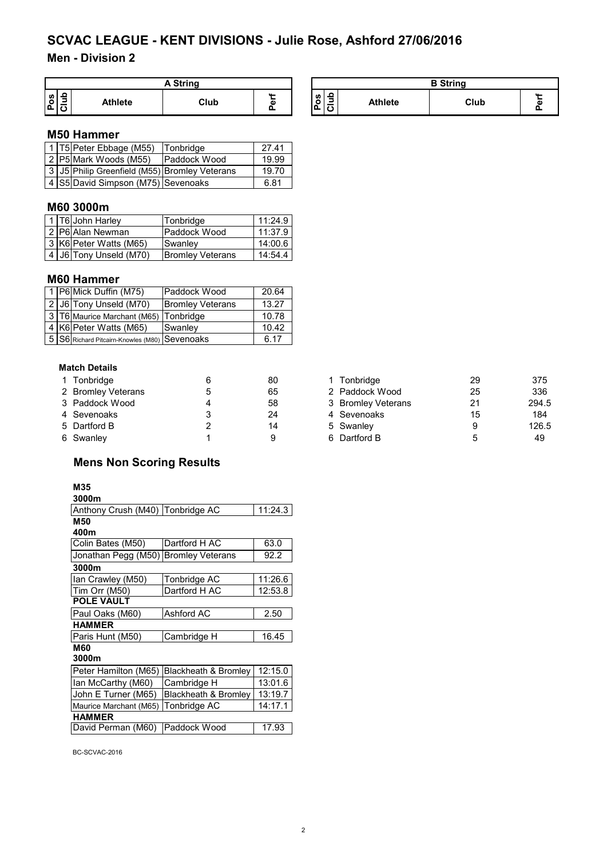# **Men - Division 2**

| <b>A String</b> |         |      |   |  |  |  |  |
|-----------------|---------|------|---|--|--|--|--|
| S<br>o<br>-     | Athlete | Club | ω |  |  |  |  |

| A String |        | <b>B</b> String     |                |      |  |  |
|----------|--------|---------------------|----------------|------|--|--|
| Club     | <br>۵ï | <b>SD</b><br>o<br>Ω | <b>Athlete</b> | Club |  |  |

#### **M50 Hammer**

|  | 1   T5   Peter Ebbage (M55)                   | Tonbridge           | 27 41 |
|--|-----------------------------------------------|---------------------|-------|
|  | 2 P5 Mark Woods (M55)                         | <b>Paddock Wood</b> | 19.99 |
|  | 3 J5 Philip Greenfield (M55) Bromley Veterans |                     | 19.70 |
|  | 4 S5 David Simpson (M75) Sevenoaks            |                     | 6.81  |

## **M60 3000m**

|  | 1 T6 John Harley           | Tonbridge               | 11:24.9 |
|--|----------------------------|-------------------------|---------|
|  | 2 P6 Alan Newman           | Paddock Wood            | 11:37.9 |
|  | 3 K6 Peter Watts (M65)     | <b>Swanley</b>          | 14:00.6 |
|  | 4   J6   Tony Unseld (M70) | <b>Bromley Veterans</b> | 14:54.4 |

### **M60 Hammer**

|  | 1   P6   Mick Duffin (M75)                    | Paddock Wood            | 20.64 |
|--|-----------------------------------------------|-------------------------|-------|
|  | 2 J6 Tony Unseld (M70)                        | <b>Bromley Veterans</b> | 13.27 |
|  | 3   T6 Maurice Marchant (M65)   Tonbridge     |                         | 10.78 |
|  | 4 K6 Peter Watts (M65)                        | Swanley                 | 10.42 |
|  | 5 S6 Richard Pitcairn-Knowles (M80) Sevenoaks |                         | 6.17  |

#### **Match Details**

| 1 Tonbridge        |   | 80 | 1 Tonbridge        | 29 | 375  |
|--------------------|---|----|--------------------|----|------|
| 2 Bromley Veterans |   | 65 | 2 Paddock Wood     | 25 | 336  |
| 3 Paddock Wood     | Δ | 58 | 3 Bromley Veterans | 21 | 294. |
| 4 Sevenoaks        |   | 24 | 4 Sevenoaks        | 15 | 184  |
| 5 Dartford B       |   | 14 | 5 Swanley          | 9  | 126. |
| 6 Swanley          |   | a  | 6 Dartford B       | 5  | 49   |

# **Mens Non Scoring Results**

### **M35**

| 3000m                            |                                 |         |
|----------------------------------|---------------------------------|---------|
| Anthony Crush (M40) Tonbridge AC |                                 | 11:24.3 |
| M50                              |                                 |         |
| 400m                             |                                 |         |
| Colin Bates (M50)                | Dartford H AC                   | 63.0    |
| Jonathan Pegg (M50)              | <b>Bromley Veterans</b>         | 92.2    |
| 3000m                            |                                 |         |
| Ian Crawley (M50)                | Tonbridge AC                    | 11:26.6 |
| Tim Orr (M50)                    | Dartford H AC                   | 12:53.8 |
| <b>POLE VAULT</b>                |                                 |         |
| Paul Oaks (M60)                  | Ashford AC                      | 2.50    |
| <b>HAMMER</b>                    |                                 |         |
| Paris Hunt (M50)                 | Cambridge H                     | 16.45   |
| M60                              |                                 |         |
| 3000m                            |                                 |         |
| Peter Hamilton (M65)             | Blackheath & Bromley            | 12:15.0 |
| Ian McCarthy (M60)               | Cambridge H                     | 13:01.6 |
| John E Turner (M65)              | <b>Blackheath &amp; Bromley</b> | 13:19.7 |
| Maurice Marchant (M65)           | Tonbridge AC                    | 14:17.1 |
| <b>HAMMER</b>                    |                                 |         |
| David Perman (M60)               | Paddock Wood                    | 17.93   |
|                                  |                                 |         |

BC-SCVAC-2016

| 1 Tonbridge        | 80 | Tonbridge          | 29 | 375   |
|--------------------|----|--------------------|----|-------|
| 2 Bromley Veterans | 65 | 2 Paddock Wood     | 25 | 336   |
| 3 Paddock Wood     | 58 | 3 Bromley Veterans | 21 | 294.5 |
| 4 Sevenoaks        | 24 | 4 Sevenoaks        | 15 | 184   |
| 5 Dartford B       | 14 | 5 Swanley          |    | 126.5 |
| 6 Swanlev          |    | 6 Dartford B       |    | 49    |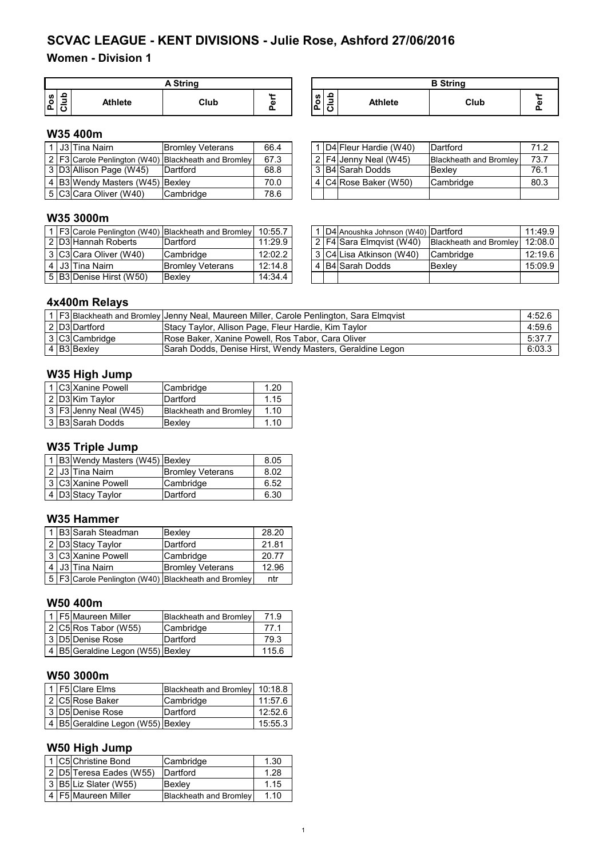# **Women - Division 1**

|                | <b>A String</b> |                |      |          |  |  |  |  |  |  |
|----------------|-----------------|----------------|------|----------|--|--|--|--|--|--|
| <b>SD</b><br>o | ≌               | <b>Athlete</b> | Club | 64.<br>ω |  |  |  |  |  |  |

| A String                   |  |  |   | <b>B</b> String |      |                      |
|----------------------------|--|--|---|-----------------|------|----------------------|
| $\mathbf{a}$<br>Club<br>G) |  |  | ∼ | <b>Athlete</b>  | Club | <b>11</b><br>G)<br>ш |

## **W35 400m**

|  | l 1 I J3 lTina Nairn l          | <b>Bromley Veterans</b>                                 | 66.4 |  | 1 D4 Fleur Hardie (W40)   | Dartford                      | 71.2 |
|--|---------------------------------|---------------------------------------------------------|------|--|---------------------------|-------------------------------|------|
|  |                                 | 2   F3 Carole Penlington (W40)   Blackheath and Bromley | 67.3 |  | $ 2 F4 $ Jenny Neal (W45) | <b>Blackheath and Bromley</b> | 73.7 |
|  | 3 D3 Allison Page (W45)         | <b>IDartford</b>                                        | 68.8 |  | ∟3 IB4ISarah Dodds        | Bexlev                        | 76.1 |
|  | 4 B3 Wendy Masters (W45) Bexley |                                                         | 70.0 |  | 4 $ C4 $ Rose Baker (W50) | Cambridge                     | 80.3 |
|  | 5 C3 Cara Oliver (W40)          | Cambridge                                               | 78.6 |  |                           |                               |      |

|  | 1 D4 Fleur Hardie (W40)   | Dartford                      | 71.2 |
|--|---------------------------|-------------------------------|------|
|  | $2$   F4 Jenny Neal (W45) | <b>Blackheath and Bromley</b> | 73.7 |
|  | 3 B4 Sarah Dodds          | Bexley                        | 76.1 |
|  | 4 C4 Rose Baker (W50)     | Cambridge                     | 80.3 |
|  |                           |                               |      |

## **W35 3000m**

|  |                         | 1   F3 Carole Penlington (W40)   Blackheath and Bromley   10:55.7 |         |  | I D4 Anoushka Johnson (W40) Dartford |                               | 11:49.9 |
|--|-------------------------|-------------------------------------------------------------------|---------|--|--------------------------------------|-------------------------------|---------|
|  | 2 D3 Hannah Roberts     | Dartford                                                          | 11:29.9 |  | 2 F4 Sara Elmgvist (W40)             | <b>Blackheath and Bromley</b> | 12:08.0 |
|  | 3 C3 Cara Oliver (W40)  | Cambridge                                                         | 12:02.2 |  | 3   C4   Lisa Atkinson (W40)         | <b>Cambridge</b>              | 12:19.6 |
|  | 4 J3 Tina Nairn         | <b>Bromley Veterans</b>                                           | 12:14.8 |  | 4 B4 Sarah Dodds                     | Bexlev                        | 15:09.9 |
|  | 5 B3 Denise Hirst (W50) | Bexlev                                                            | 14:34.4 |  |                                      |                               |         |

|  | 1   D4 Anoushka Johnson (W40)   Dartford |                        | 11:49.9 |
|--|------------------------------------------|------------------------|---------|
|  | 2   F4 Sara Elmqvist (W40)               | Blackheath and Bromley | 12:08.0 |
|  | 3 C4 Lisa Atkinson (W40)                 | Cambridge              | 12:19.6 |
|  | 4 B4 Sarah Dodds                         | Bexley                 | 15:09.9 |
|  |                                          |                        |         |

# **4x400m Relays**

|  |                | 1   F3   Blackheath and Bromley   Jenny Neal, Maureen Miller, Carole Penlington, Sara Elmqvist | 4:52.6 |
|--|----------------|------------------------------------------------------------------------------------------------|--------|
|  | 2 D3 Dartford  | Stacy Taylor, Allison Page, Fleur Hardie, Kim Taylor                                           | 4:59.6 |
|  | 3 C3 Cambridge | Rose Baker, Xanine Powell, Ros Tabor, Cara Oliver                                              | 5:37.7 |
|  | 4 B3 Bexley    | Sarah Dodds, Denise Hirst, Wendy Masters, Geraldine Legon                                      | 6:03.3 |

# **W35 High Jump**

|  | 1 C3 Xanine Powell    | Cambridge              | 1.20 |
|--|-----------------------|------------------------|------|
|  | 2 D3 Kim Taylor       | Dartford               | 1.15 |
|  | 3 F3 Jenny Neal (W45) | Blackheath and Bromley | 1.10 |
|  | 3 B3 Sarah Dodds      | Bexley                 | 1.10 |
|  |                       |                        |      |

#### **W35 Triple Jump**

|  | 1 B3 Wendy Masters (W45) Bexley |                         | 8.05 |
|--|---------------------------------|-------------------------|------|
|  | 2 J3 Tina Nairn                 | <b>Bromley Veterans</b> | 8.02 |
|  | 3 C3 Xanine Powell              | Cambridge               | 6.52 |
|  | 4 D3 Stacy Taylor               | Dartford                | 6.30 |

#### **W35 Hammer**

|  | 1 B3 Sarah Steadman | Bexley                                                  | 28.20 |
|--|---------------------|---------------------------------------------------------|-------|
|  | 2 D3 Stacy Taylor   | Dartford                                                | 21.81 |
|  | 3 C3 Xanine Powell  | Cambridge                                               | 20.77 |
|  | J3 Tina Nairn       | <b>Bromley Veterans</b>                                 | 12.96 |
|  |                     | 5   F3 Carole Penlington (W40)   Blackheath and Bromley | ntr   |

# **W50 400m**

|  | 1 F5 Maureen Miller               | <b>Blackheath and Bromley</b> | 71.9  |
|--|-----------------------------------|-------------------------------|-------|
|  | $\sqrt{2}$ C5 Ros Tabor (W55)     | Cambridge                     | 77.1  |
|  | 3 D5 Denise Rose                  | Dartford                      | 79.3  |
|  | 4 B5 Geraldine Legon (W55) Bexley |                               | 115.6 |

### **W50 3000m**

|  | 1 F5 Clare Elms                   | Blackheath and Bromley 10:18.8 |         |
|--|-----------------------------------|--------------------------------|---------|
|  | 2 C5 Rose Baker                   | Cambridge                      | 11:57.6 |
|  | 3 D5 Denise Rose                  | Dartford                       | 12:52.6 |
|  | 4 B5 Geraldine Legon (W55) Bexley |                                | 15:55.3 |

# **W50 High Jump**

|  | 1 C5 Christine Bond       | Cambridge                     | 1.30 |
|--|---------------------------|-------------------------------|------|
|  | 2 D5 Teresa Eades (W55)   | Dartford                      | 1.28 |
|  | $ 3 $ B5 Liz Slater (W55) | Bexlev                        | 1.15 |
|  | 4 F5 Maureen Miller       | <b>Blackheath and Bromley</b> | 1.10 |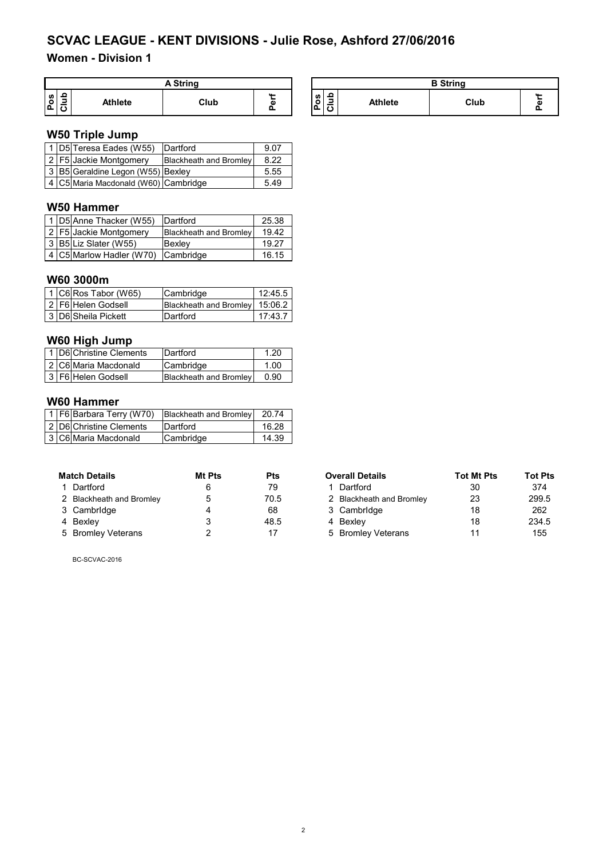# **Women - Division 1**

| <b>String</b>               |         |      |                |                       |                          |                | <b>B</b> String |        |
|-----------------------------|---------|------|----------------|-----------------------|--------------------------|----------------|-----------------|--------|
| ء<br>ő<br>=<br>ـ<br>۱ř<br>◡ | Athlete | Club | <b>11</b><br>A | ທ<br>o<br><u>і п.</u> | $\overline{\cdots}$<br>J | <b>Athlete</b> | Club            | $\sim$ |

### **W50 Triple Jump**

|  | 1 D5 Teresa Eades (W55)              | Dartford               | 9.07 |
|--|--------------------------------------|------------------------|------|
|  | 2 F5 Jackie Montgomery               | Blackheath and Bromley | 8.22 |
|  | 3 B5 Geraldine Legon (W55) Bexley    |                        | 5.55 |
|  | 4 C5 Maria Macdonald (W60) Cambridge |                        | 5.49 |

## **W50 Hammer**

|  | 1 D5 Anne Thacker (W55) Dartford   |                               | 25.38 |
|--|------------------------------------|-------------------------------|-------|
|  | 2   F5 Jackie Montgomery           | <b>Blackheath and Bromley</b> | 19.42 |
|  | 3 B5 Liz Slater (W55)              | Bexley                        | 19.27 |
|  | 4 C5 Marlow Hadler (W70) Cambridge |                               | 16.15 |

### **W60 3000m**

|  | 1 C6 Ros Tabor (W65) | Cambridge                      | 12:45.5 |
|--|----------------------|--------------------------------|---------|
|  | 2 F6 Helen Godsell   | Blackheath and Bromley 15:06.2 |         |
|  | 3 D6 Sheila Pickett  | Dartford                       | 17:43.7 |

## **W60 High Jump**

|  | 1 D6 Christine Clements | Dartford                      | 1.20 |
|--|-------------------------|-------------------------------|------|
|  | 2 C6 Maria Macdonald    | Cambridge                     | 1.00 |
|  | 3 F6 Helen Godsell      | <b>Blackheath and Bromley</b> | 0.90 |

### **W60 Hammer**

|  | 1 F6 Barbara Terry (W70) | <b>Blackheath and Bromley</b> | 20.74 |
|--|--------------------------|-------------------------------|-------|
|  | 2 D6 Christine Clements  | Dartford                      | 16.28 |
|  | 3 C6 Maria Macdonald     | Cambridge                     | 14.39 |

| <b>Match Details</b>     | Mt Pts | Pts  |
|--------------------------|--------|------|
| 1 Dartford               | 6      | 79   |
| 2 Blackheath and Bromley | 5      | 70.5 |
| 3 Cambridge              | 4      | 68   |
| 4 Bexley                 | 3      | 48.5 |
| 5 Bromley Veterans       | 2      | 17   |

BC-SCVAC-2016

| <b>Match Details</b>     | Mt Pts | Pts  | <b>Overall Details</b>   | <b>Tot Mt Pts</b> | <b>Tot Pts</b> |
|--------------------------|--------|------|--------------------------|-------------------|----------------|
| 1 Dartford               | 6      | 79   | 1 Dartford               | 30                | 374            |
| 2 Blackheath and Bromley | 5      | 70.5 | 2 Blackheath and Bromley | 23                | 299.5          |
| 3 Cambridge              |        | 68   | 3 Cambridge              | 18                | 262            |
| 4 Bexley                 |        | 48.5 | 4 Bexlev                 | 18                | 234.5          |
| 5 Bromley Veterans       |        | 17   | 5 Bromley Veterans       |                   | 155            |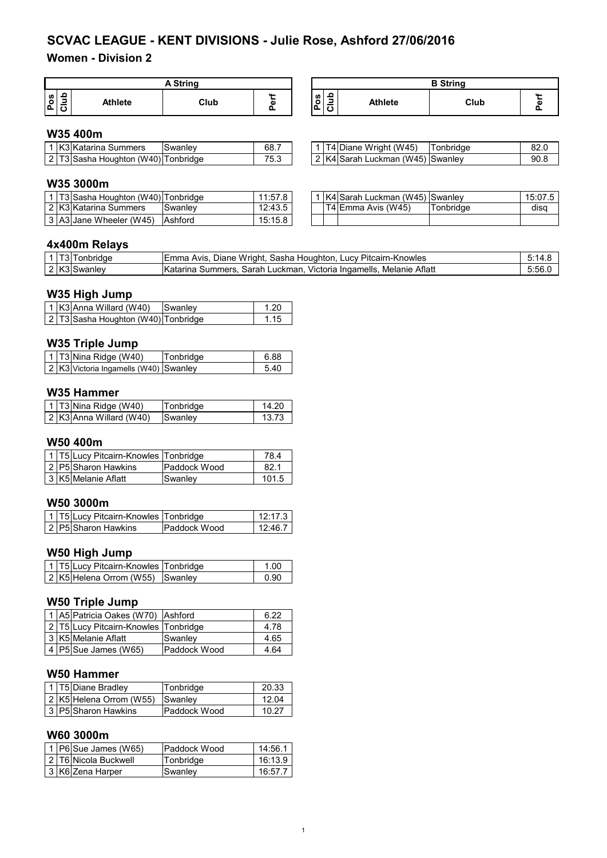# **Women - Division 2**

| String                                    |                |      |               |                  |                                                             |                | <b>B</b> String |   |
|-------------------------------------------|----------------|------|---------------|------------------|-------------------------------------------------------------|----------------|-----------------|---|
| ωI<br>$\circ$<br>-<br>$\mathbf{a}$<br>l C | <b>Athlete</b> | Club | $\cdots$<br>m | ⊇ ا ه<br>∼<br>ஂ௨ | $\overline{\phantom{a}}$<br>$\overline{\phantom{a}}$<br>ــا | <b>Athlete</b> | Club            | л |

### **W35 400m**

|  | K3 Katarina<br>Summers       | Swanlev  | 68.7                 |                   | Wright (W45)<br>.<br>Diane  | 'onbridae | ח רפ<br>oz.u |
|--|------------------------------|----------|----------------------|-------------------|-----------------------------|-----------|--------------|
|  | ക്asha<br>Houghton<br>`/W40. | onbridge | <b>75.3</b><br>' ບ.ບ | $\sim$ $\sqrt{ }$ | (W45)<br>⊰arar<br>∟uckman ∂ | Swanley   | 90.8         |

|  | 1 T4 Diane Wright (W45)          | Tonbridge | 82.0 |
|--|----------------------------------|-----------|------|
|  | 2 K4 Sarah Luckman (W45) Swanley |           | 90 R |

#### **W35 3000m**

|  | 1 T3 Sasha Houghton (W40) Tonbridge |         | 11:57.8 |  | 1   K4 Sarah Luckman (W45)   Swanley |           | 15:07.5 |
|--|-------------------------------------|---------|---------|--|--------------------------------------|-----------|---------|
|  | 2 K3 Katarina Summers               | Swanley | 12:43.5 |  | T4 Emma Avis (W45)                   | Tonbridae | disa    |
|  | 3 A3 Jane Wheeler (W45)             | Ashford | 15:15.8 |  |                                      |           |         |

|  | 1 K4 Sarah Luckman (W45) Swanley |           | 15:07.5 |
|--|----------------------------------|-----------|---------|
|  | T4 Emma Avis (W45)               | Tonbridge | disa    |
|  |                                  |           |         |

### **4x400m Relays**

|  | i 3∏onbridae | Diane Wright, Sasha Houghton, Lucy Pitcairn-Knowles<br>IEmma Avis.                         | ے.5:14 |
|--|--------------|--------------------------------------------------------------------------------------------|--------|
|  | 2 K3 Swanley | . Melanie Aflatt<br><b>Katarina</b><br>Victoria Ingamells.<br>. Sarah Luckman.<br>Summers. | 5:56.  |

#### **W35 High Jump**

|  | $\vert$ 1 K3 Anna Willard (W40)     |  | Swanley | 1.20 |
|--|-------------------------------------|--|---------|------|
|  | 2 T3 Sasha Houghton (W40) Tonbridge |  |         | 1.15 |

### **W35 Triple Jump**

|  | $1$ T3 Nina Ridge (W40)               | Tonbridge | 6.88 |
|--|---------------------------------------|-----------|------|
|  | 2 K3 Victoria Ingamells (W40) Swanley |           | 540  |

#### **W35 Hammer**

|  | 1   T3 Nina Ridge (W40)   | <b>Tonbridge</b> | 14.20 |
|--|---------------------------|------------------|-------|
|  | $2$ K3 Anna Willard (W40) | <b>Swanley</b>   | 13.73 |

### **W50 400m**

|  | 1 T5 Lucy Pitcairn-Knowles Tonbridge |              | 78.4  |
|--|--------------------------------------|--------------|-------|
|  | 2 P5 Sharon Hawkins                  | Paddock Wood | 82.1  |
|  | 3 K5 Melanie Aflatt                  | Swanley      | 101.5 |

# **W50 3000m**

|  | 1 T5 Lucy Pitcairn-Knowles Tonbridge |                      | 12:17.3 |
|--|--------------------------------------|----------------------|---------|
|  | 2 P5 Sharon Hawkins                  | <b>IPaddock Wood</b> | 12:46.7 |

## **W50 High Jump**

|  | 1   T5 Lucy Pitcairn-Knowles   Tonbridge | 1.00   |
|--|------------------------------------------|--------|
|  | 2 K5 Helena Orrom (W55) Swanley          | _ N_90 |

#### **W50 Triple Jump**

|  | 1 A5 Patricia Oakes (W70) Ashford    |              | 6.22 |
|--|--------------------------------------|--------------|------|
|  | 2 T5 Lucy Pitcairn-Knowles Tonbridge |              | 4.78 |
|  | 3 K5 Melanie Aflatt                  | Swanley      | 4.65 |
|  | $ 4 P5 $ Sue James (W65)             | Paddock Wood | 4.64 |

#### **W50 Hammer**

|  | 1 T5 Diane Bradley      | Tonbridge           | 20.33 |
|--|-------------------------|---------------------|-------|
|  | 2 K5 Helena Orrom (W55) | <b>I</b> Swanlev    | 12.04 |
|  | 3   P5 Sharon Hawkins   | <b>Paddock Wood</b> | 10.27 |

### **W60 3000m**

|  | $\vert$ 1   P6 Sue James (W65) | <b>IPaddock Wood</b> | 14:56.1 |
|--|--------------------------------|----------------------|---------|
|  | 2 T6 Nicola Buckwell           | Tonbridge            | 16:13.9 |
|  | 3 K6 Zena Harper               | Swanley              | 16:57.7 |